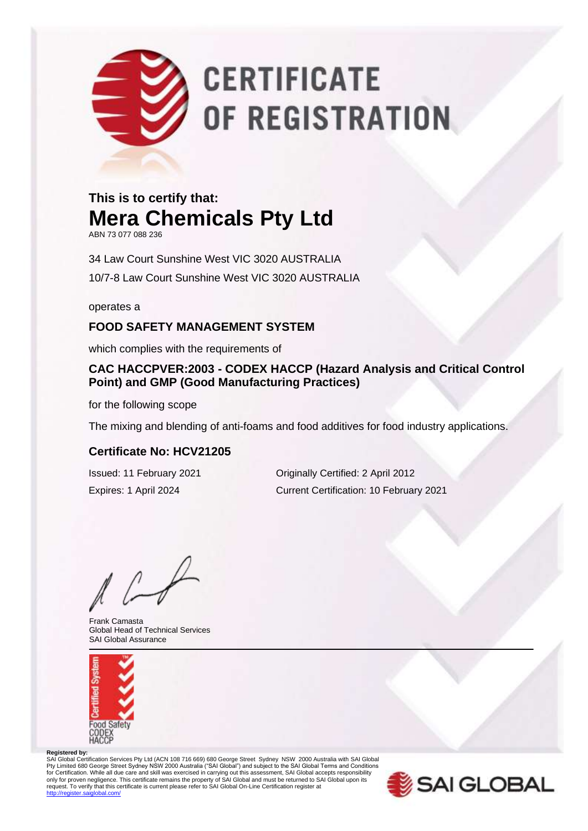# **CERTIFICATE** OF REGISTRATION

### **This is to certify that: Mera Chemicals Pty Ltd**

ABN 73 077 088 236

34 Law Court Sunshine West VIC 3020 AUSTRALIA 10/7-8 Law Court Sunshine West VIC 3020 AUSTRALIA

operates a

#### **FOOD SAFETY MANAGEMENT SYSTEM**

which complies with the requirements of

#### **CAC HACCPVER:2003 - CODEX HACCP (Hazard Analysis and Critical Control Point) and GMP (Good Manufacturing Practices)**

for the following scope

The mixing and blending of anti-foams and food additives for food industry applications.

#### **Certificate No: HCV21205**

Issued: 11 February 2021 Originally Certified: 2 April 2012 Expires: 1 April 2024 Current Certification: 10 February 2021

Frank Camasta Global Head of Technical Services SAI Global Assurance



#### **Registered by:**

SAI Global Certification Services Pty Ltd (ACN 108 716 669) 680 George Street Sydney NSW 2000 Australia with SAI Global Pty Limited 680 George Street Sydney NSW 2000 Australia ("SAI Global") and subject to the SAI Global Terms and Conditions<br>for Certification. While all due care and skill was exercised in carrying out this assessment, SAI G only for proven negligence. This certificate remains the property of SAI Global and must be returned to SAI Global upon its<br>request. To verify that this certificate is current please refer to SAI Global On-Line Certificati .<br>diobal.com/